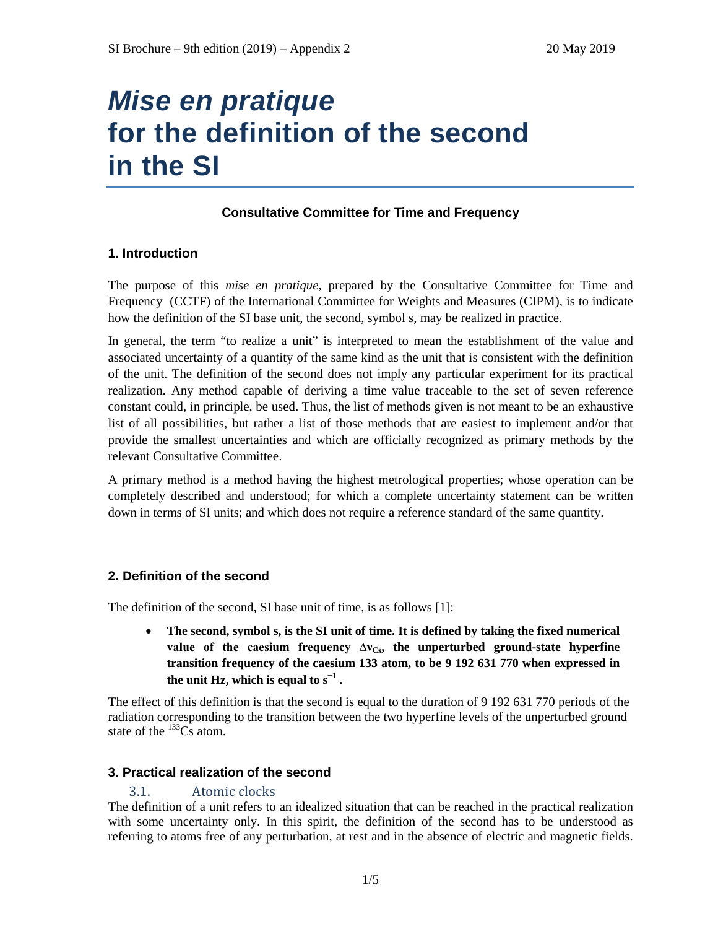# *Mise en pratique* **for the definition of the second in the SI**

## **Consultative Committee for Time and Frequency**

## **1. Introduction**

The purpose of this *mise en pratique*, prepared by the Consultative Committee for Time and Frequency (CCTF) of the International Committee for Weights and Measures (CIPM), is to indicate how the definition of the SI base unit, the second, symbol s, may be realized in practice.

In general, the term "to realize a unit" is interpreted to mean the establishment of the value and associated uncertainty of a quantity of the same kind as the unit that is consistent with the definition of the unit. The definition of the second does not imply any particular experiment for its practical realization. Any method capable of deriving a time value traceable to the set of seven reference constant could, in principle, be used. Thus, the list of methods given is not meant to be an exhaustive list of all possibilities, but rather a list of those methods that are easiest to implement and/or that provide the smallest uncertainties and which are officially recognized as primary methods by the relevant Consultative Committee.

A primary method is a method having the highest metrological properties; whose operation can be completely described and understood; for which a complete uncertainty statement can be written down in terms of SI units; and which does not require a reference standard of the same quantity.

## **2. Definition of the second**

The definition of the second, SI base unit of time, is as follows [1]:

• **The second, symbol s, is the SI unit of time. It is defined by taking the fixed numerical**  value of the caesium frequency  $\Delta v_{\text{Cs}}$ , the unperturbed ground-state hyperfine **transition frequency of the caesium 133 atom, to be 9 192 631 770 when expressed in the unit Hz, which is equal to**  $s^{-1}$ **.** 

The effect of this definition is that the second is equal to the duration of 9 192 631 770 periods of the radiation corresponding to the transition between the two hyperfine levels of the unperturbed ground state of the  $^{133}Cs$  atom.

#### **3. Practical realization of the second**

#### 3.1. Atomic clocks

The definition of a unit refers to an idealized situation that can be reached in the practical realization with some uncertainty only. In this spirit, the definition of the second has to be understood as referring to atoms free of any perturbation, at rest and in the absence of electric and magnetic fields.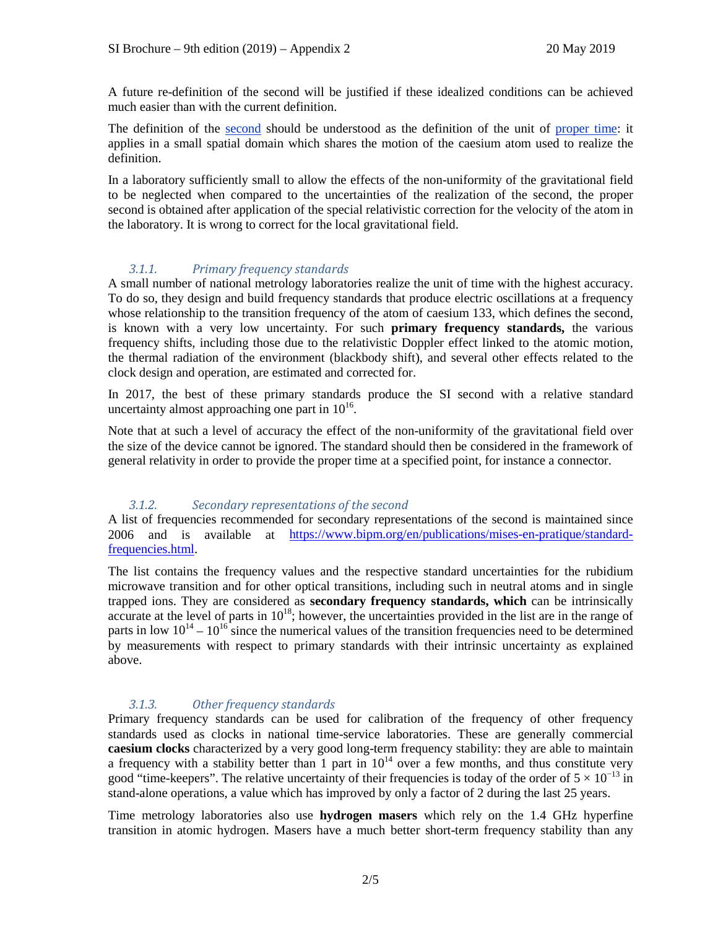A future re-definition of the second will be justified if these idealized conditions can be achieved much easier than with the current definition.

The definition of the second should be understood as the definition of the unit of proper time: it applies in a small spatial domain which shares the motion of the caesium atom used to realize the definition.

In a laboratory sufficiently small to allow the effects of the non-uniformity of the gravitational field to be neglected when compared to the uncertainties of the realization of the second, the proper second is obtained after application of the special relativistic correction for the velocity of the atom in the laboratory. It is wrong to correct for the local gravitational field.

### *3.1.1. Primary frequency standards*

A small number of national metrology laboratories realize the unit of time with the highest accuracy. To do so, they design and build frequency standards that produce electric oscillations at a frequency whose relationship to the transition frequency of the atom of caesium 133, which defines the second, is known with a very low uncertainty. For such **primary frequency standards,** the various frequency shifts, including those due to the relativistic Doppler effect linked to the atomic motion, the thermal radiation of the environment (blackbody shift), and several other effects related to the clock design and operation, are estimated and corrected for.

In 2017, the best of these primary standards produce the SI second with a relative standard uncertainty almost approaching one part in  $10^{16}$ .

Note that at such a level of accuracy the effect of the non-uniformity of the gravitational field over the size of the device cannot be ignored. The standard should then be considered in the framework of general relativity in order to provide the proper time at a specified point, for instance a connector.

#### *3.1.2. Secondary representations of the second*

A list of frequencies recommended for secondary representations of the second is maintained since 2006 and is available at [https://www.bipm.org/en/publications/mises-en-pratique/standard](https://www.bipm.org/en/publications/mises-en-pratique/standard-frequencies.html)[frequencies.html.](https://www.bipm.org/en/publications/mises-en-pratique/standard-frequencies.html)

The list contains the frequency values and the respective standard uncertainties for the rubidium microwave transition and for other optical transitions, including such in neutral atoms and in single trapped ions. They are considered as **secondary frequency standards, which** can be intrinsically accurate at the level of parts in  $10^{18}$ ; however, the uncertainties provided in the list are in the range of parts in low  $10^{14} - 10^{16}$  since the numerical values of the transition frequencies need to be determined by measurements with respect to primary standards with their intrinsic uncertainty as explained above.

#### *3.1.3. Other frequency standards*

Primary frequency standards can be used for calibration of the frequency of other frequency standards used as clocks in national time-service laboratories. These are generally commercial **caesium clocks** characterized by a very good long-term frequency stability: they are able to maintain a frequency with a stability better than 1 part in  $10^{14}$  over a few months, and thus constitute very good "time-keepers". The relative uncertainty of their frequencies is today of the order of  $5 \times 10^{-13}$  in stand-alone operations, a value which has improved by only a factor of 2 during the last 25 years.

Time metrology laboratories also use **hydrogen masers** which rely on the 1.4 GHz hyperfine transition in atomic hydrogen. Masers have a much better short-term frequency stability than any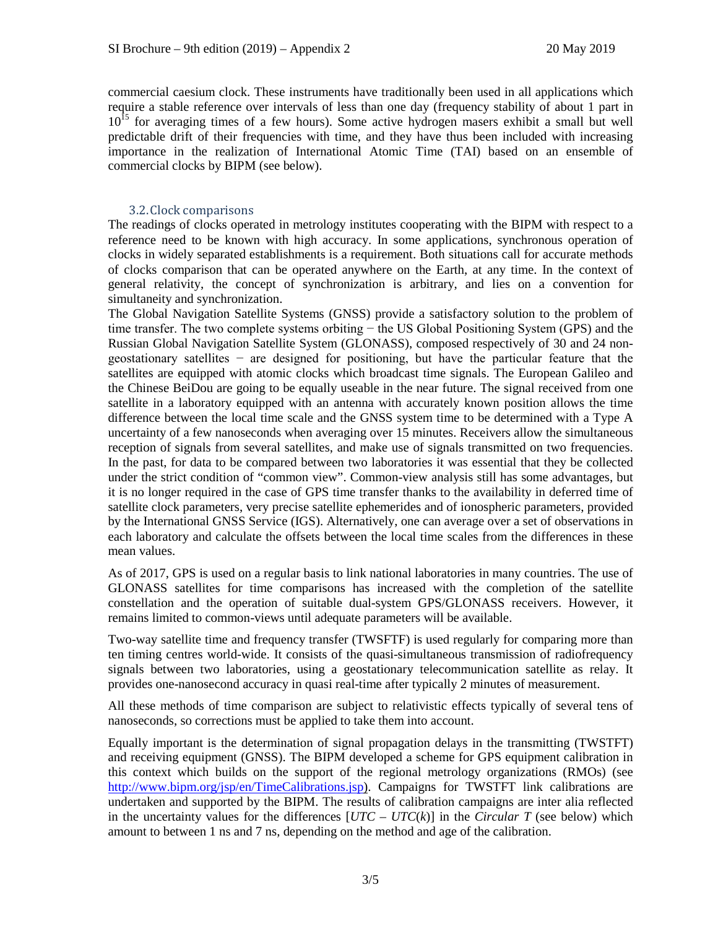commercial caesium clock. These instruments have traditionally been used in all applications which require a stable reference over intervals of less than one day (frequency stability of about 1 part in  $10^{15}$  for averaging times of a few hours). Some active hydrogen masers exhibit a small but well predictable drift of their frequencies with time, and they have thus been included with increasing importance in the realization of International Atomic Time (TAI) based on an ensemble of commercial clocks by BIPM (see below).

#### 3.2.Clock comparisons

The readings of clocks operated in metrology institutes cooperating with the BIPM with respect to a reference need to be known with high accuracy. In some applications, synchronous operation of clocks in widely separated establishments is a requirement. Both situations call for accurate methods of clocks comparison that can be operated anywhere on the Earth, at any time. In the context of general relativity, the concept of synchronization is arbitrary, and lies on a convention for simultaneity and synchronization.

The Global Navigation Satellite Systems (GNSS) provide a satisfactory solution to the problem of time transfer. The two complete systems orbiting − the US Global Positioning System (GPS) and the Russian Global Navigation Satellite System (GLONASS), composed respectively of 30 and 24 nongeostationary satellites − are designed for positioning, but have the particular feature that the satellites are equipped with atomic clocks which broadcast time signals. The European Galileo and the Chinese BeiDou are going to be equally useable in the near future. The signal received from one satellite in a laboratory equipped with an antenna with accurately known position allows the time difference between the local time scale and the GNSS system time to be determined with a Type A uncertainty of a few nanoseconds when averaging over 15 minutes. Receivers allow the simultaneous reception of signals from several satellites, and make use of signals transmitted on two frequencies. In the past, for data to be compared between two laboratories it was essential that they be collected under the strict condition of "common view". Common-view analysis still has some advantages, but it is no longer required in the case of GPS time transfer thanks to the availability in deferred time of satellite clock parameters, very precise satellite ephemerides and of ionospheric parameters, provided by the International GNSS Service (IGS). Alternatively, one can average over a set of observations in each laboratory and calculate the offsets between the local time scales from the differences in these mean values.

As of 2017, GPS is used on a regular basis to link national laboratories in many countries. The use of GLONASS satellites for time comparisons has increased with the completion of the satellite constellation and the operation of suitable dual-system GPS/GLONASS receivers. However, it remains limited to common-views until adequate parameters will be available.

Two-way satellite time and frequency transfer (TWSFTF) is used regularly for comparing more than ten timing centres world-wide. It consists of the quasi-simultaneous transmission of radiofrequency signals between two laboratories, using a geostationary telecommunication satellite as relay. It provides one-nanosecond accuracy in quasi real-time after typically 2 minutes of measurement.

All these methods of time comparison are subject to relativistic effects typically of several tens of nanoseconds, so corrections must be applied to take them into account.

Equally important is the determination of signal propagation delays in the transmitting (TWSTFT) and receiving equipment (GNSS). The BIPM developed a scheme for GPS equipment calibration in this context which builds on the support of the regional metrology organizations (RMOs) (see [http://www.bipm.org/jsp/en/TimeCalibrations.jsp\)](http://www.bipm.org/jsp/en/TimeCalibrations.jsp). Campaigns for TWSTFT link calibrations are undertaken and supported by the BIPM. The results of calibration campaigns are inter alia reflected in the uncertainty values for the differences  $[UTC - UTC(k)]$  in the *Circular T* (see below) which amount to between 1 ns and 7 ns, depending on the method and age of the calibration.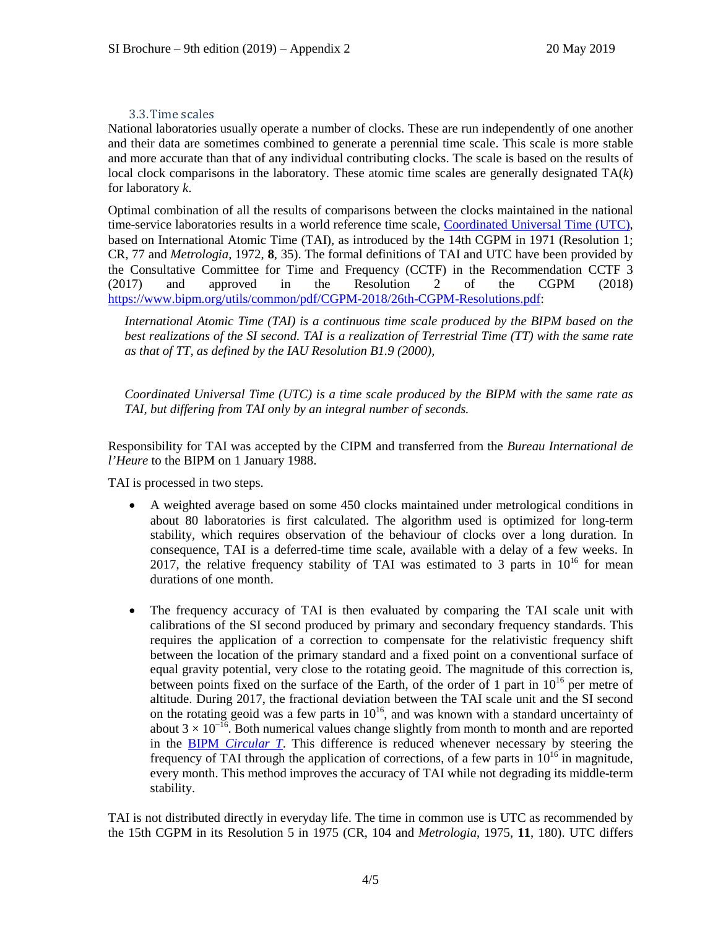#### 3.3.Time scales

National laboratories usually operate a number of clocks. These are run independently of one another and their data are sometimes combined to generate a perennial time scale. This scale is more stable and more accurate than that of any individual contributing clocks. The scale is based on the results of local clock comparisons in the laboratory. These atomic time scales are generally designated TA(*k*) for laboratory *k*.

Optimal combination of all the results of comparisons between the clocks maintained in the national time-service laboratories results in a world reference time scale, Coordinated Universal Time (UTC), based on International Atomic Time (TAI), as introduced by the 14th CGPM in 1971 (Resolution 1; CR, 77 and *Metrologia*, 1972, **8**, 35). The formal definitions of TAI and UTC have been provided by the Consultative Committee for Time and Frequency (CCTF) in the Recommendation CCTF 3 (2017) and approved in the Resolution 2 of the CGPM (2018) [https://www.bipm.org/utils/common/pdf/CGPM-2018/26th-CGPM-Resolutions.pdf:](https://www.bipm.org/utils/common/pdf/CGPM-2018/26th-CGPM-Resolutions.pdf)

*International Atomic Time (TAI) is a continuous time scale produced by the BIPM based on the best realizations of the SI second. TAI is a realization of Terrestrial Time (TT) with the same rate as that of TT, as defined by the IAU Resolution B1.9 (2000),*

*Coordinated Universal Time (UTC) is a time scale produced by the BIPM with the same rate as TAI, but differing from TAI only by an integral number of seconds.*

Responsibility for TAI was accepted by the CIPM and transferred from the *Bureau International de l'Heure* to the BIPM on 1 January 1988.

TAI is processed in two steps.

- A weighted average based on some 450 clocks maintained under metrological conditions in about 80 laboratories is first calculated. The algorithm used is optimized for long-term stability, which requires observation of the behaviour of clocks over a long duration. In consequence, TAI is a deferred-time time scale, available with a delay of a few weeks. In 2017, the relative frequency stability of TAI was estimated to 3 parts in  $10^{16}$  for mean durations of one month.
- The frequency accuracy of TAI is then evaluated by comparing the TAI scale unit with calibrations of the SI second produced by primary and secondary frequency standards. This requires the application of a correction to compensate for the relativistic frequency shift between the location of the primary standard and a fixed point on a conventional surface of equal gravity potential, very close to the rotating geoid. The magnitude of this correction is, between points fixed on the surface of the Earth, of the order of 1 part in  $10^{16}$  per metre of altitude. During 2017, the fractional deviation between the TAI scale unit and the SI second on the rotating geoid was a few parts in  $10^{16}$ , and was known with a standard uncertainty of about 3  $\times$  10<sup>-16</sup>. Both numerical values change slightly from month to month and are reported in the BIPM *Circular T*. This difference is reduced whenever necessary by steering the frequency of TAI through the application of corrections, of a few parts in  $10^{16}$  in magnitude, every month. This method improves the accuracy of TAI while not degrading its middle-term stability.

TAI is not distributed directly in everyday life. The time in common use is UTC as recommended by the 15th CGPM in its Resolution 5 in 1975 (CR, 104 and *Metrologia*, 1975, **11**, 180). UTC differs